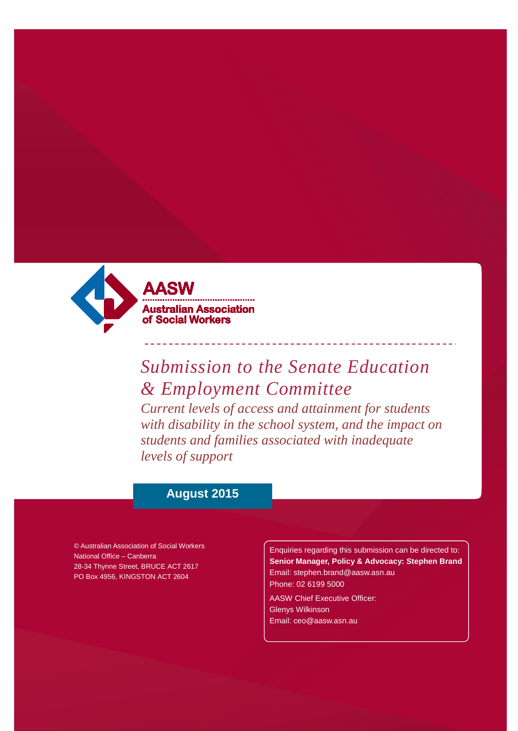

# AASV **Australian Association** of Social Workers

# *Submission to the Senate Education & Employment Committee Current levels of access and attainment for students*

*with disability in the school system, and the impact on students and families associated with inadequate levels of support*

## **August 2015**

© Australian Association of Social Workers National Office – Canberra 28-34 Thynne Street, BRUCE ACT 2617 PO Box 4956, KINGSTON ACT 2604

Enquiries regarding this submission can be directed to: **Senior Manager, Policy & Advocacy: Stephen Brand** [Email: stephen.brand@aasw.asn.au](mailto:stephen.brand@aasw.asn.au) Phone: 02 6199 5000

AASW Chief Executive Officer: Glenys Wilkinson [Email: ceo@aasw.asn.au](mailto:ceo@aasw.asn.au)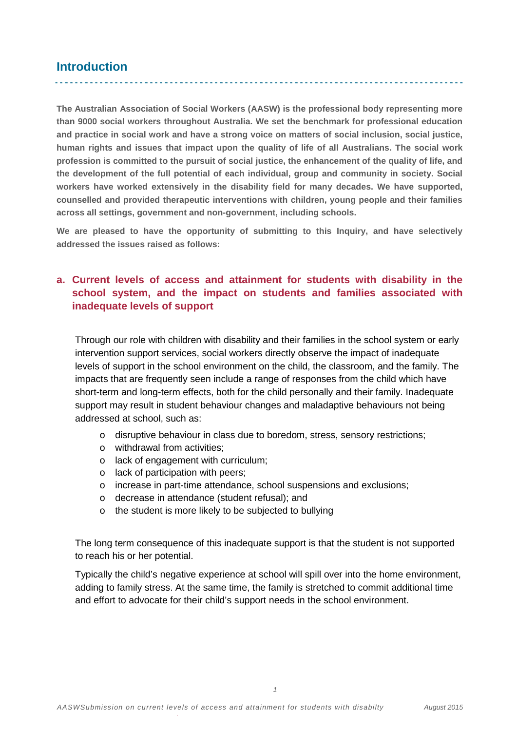## **Introduction**

**The Australian Association of Social Workers (AASW) is the professional body representing more than 9000 social workers throughout Australia. We set the benchmark for professional education and practice in social work and have a strong voice on matters of social inclusion, social justice, human rights and issues that impact upon the quality of life of all Australians. The social work profession is committed to the pursuit of social justice, the enhancement of the quality of life, and the development of the full potential of each individual, group and community in society. Social workers have worked extensively in the disability field for many decades. We have supported, counselled and provided therapeutic interventions with children, young people and their families across all settings, government and non-government, including schools.**

**We are pleased to have the opportunity of submitting to this Inquiry, and have selectively addressed the issues raised as follows:**

## **a. Current levels of access and attainment for students with disability in the school system, and the impact on students and families associated with inadequate levels of support**

Through our role with children with disability and their families in the school system or early intervention support services, social workers directly observe the impact of inadequate levels of support in the school environment on the child, the classroom, and the family. The impacts that are frequently seen include a range of responses from the child which have short-term and long-term effects, both for the child personally and their family. Inadequate support may result in student behaviour changes and maladaptive behaviours not being addressed at school, such as:

- o disruptive behaviour in class due to boredom, stress, sensory restrictions;
- o withdrawal from activities;
- o lack of engagement with curriculum;
- o lack of participation with peers;
- o increase in part-time attendance, school suspensions and exclusions;
- o decrease in attendance (student refusal); and
- o the student is more likely to be subjected to bullying

The long term consequence of this inadequate support is that the student is not supported to reach his or her potential.

Typically the child's negative experience at school will spill over into the home environment, adding to family stress. At the same time, the family is stretched to commit additional time and effort to advocate for their child's support needs in the school environment.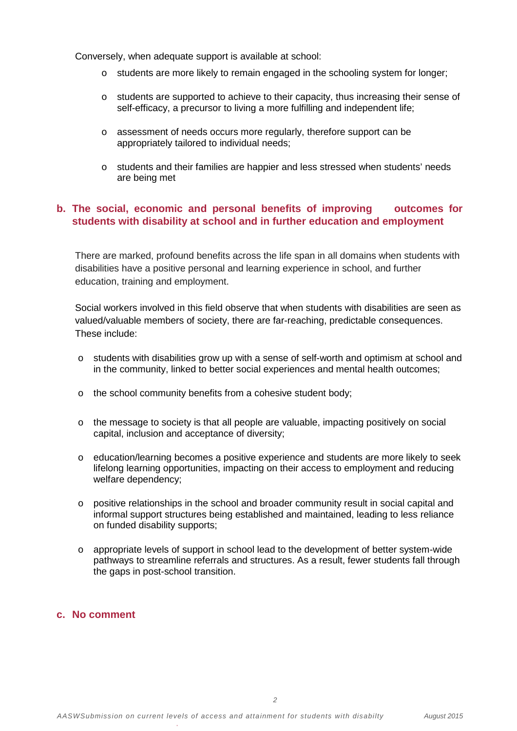Conversely, when adequate support is available at school:

- o students are more likely to remain engaged in the schooling system for longer;
- o students are supported to achieve to their capacity, thus increasing their sense of self-efficacy, a precursor to living a more fulfilling and independent life;
- o assessment of needs occurs more regularly, therefore support can be appropriately tailored to individual needs;
- o students and their families are happier and less stressed when students' needs are being met

#### **b. The social, economic and personal benefits of improving outcomes for students with disability at school and in further education and employment**

There are marked, profound benefits across the life span in all domains when students with disabilities have a positive personal and learning experience in school, and further education, training and employment.

Social workers involved in this field observe that when students with disabilities are seen as valued/valuable members of society, there are far-reaching, predictable consequences. These include:

- o students with disabilities grow up with a sense of self-worth and optimism at school and in the community, linked to better social experiences and mental health outcomes;
- o the school community benefits from a cohesive student body;
- o the message to society is that all people are valuable, impacting positively on social capital, inclusion and acceptance of diversity;
- o education/learning becomes a positive experience and students are more likely to seek lifelong learning opportunities, impacting on their access to employment and reducing welfare dependency;
- o positive relationships in the school and broader community result in social capital and informal support structures being established and maintained, leading to less reliance on funded disability supports;
- o appropriate levels of support in school lead to the development of better system-wide pathways to streamline referrals and structures. As a result, fewer students fall through the gaps in post-school transition.

#### **c. No comment**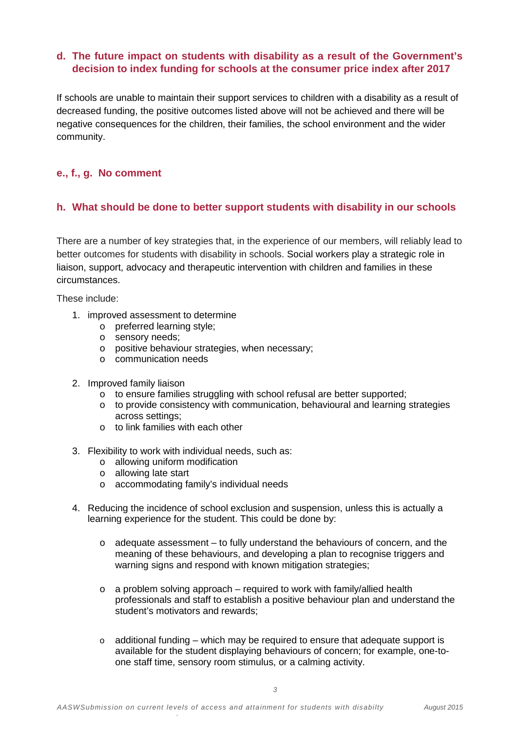### **d. The future impact on students with disability as a result of the Government's decision to index funding for schools at the consumer price index after 2017**

If schools are unable to maintain their support services to children with a disability as a result of decreased funding, the positive outcomes listed above will not be achieved and there will be negative consequences for the children, their families, the school environment and the wider community.

#### **e., f., g. No comment**

#### **h. What should be done to better support students with disability in our schools**

There are a number of key strategies that, in the experience of our members, will reliably lead to better outcomes for students with disability in schools. Social workers play a strategic role in liaison, support, advocacy and therapeutic intervention with children and families in these circumstances.

These include:

- 1. improved assessment to determine
	- o preferred learning style;
	- o sensory needs;
	- o positive behaviour strategies, when necessary;
	- o communication needs
- 2. Improved family liaison
	- o to ensure families struggling with school refusal are better supported;
	- $\circ$  to provide consistency with communication, behavioural and learning strategies across settings;
	- $\circ$  to link families with each other
- 3. Flexibility to work with individual needs, such as:
	- o allowing uniform modification
	- o allowing late start
	- o accommodating family's individual needs
- 4. Reducing the incidence of school exclusion and suspension, unless this is actually a learning experience for the student. This could be done by:
	- $\circ$  adequate assessment to fully understand the behaviours of concern, and the meaning of these behaviours, and developing a plan to recognise triggers and warning signs and respond with known mitigation strategies;
	- $\circ$  a problem solving approach required to work with family/allied health professionals and staff to establish a positive behaviour plan and understand the student's motivators and rewards;
	- $\circ$  additional funding which may be required to ensure that adequate support is available for the student displaying behaviours of concern; for example, one-toone staff time, sensory room stimulus, or a calming activity.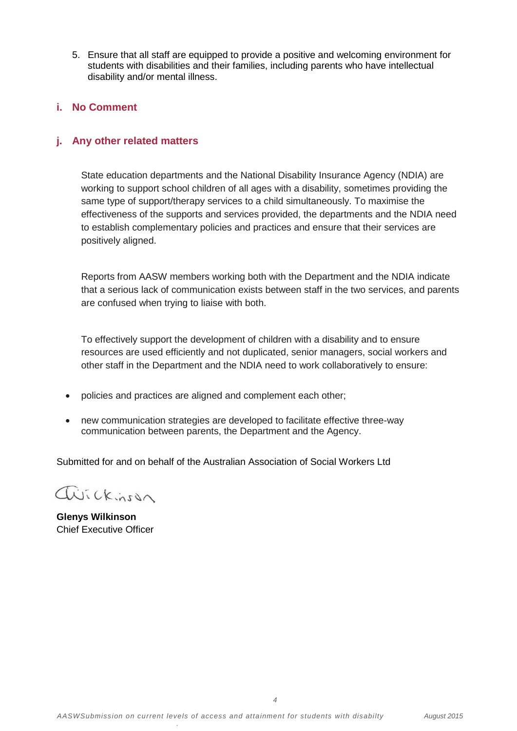5. Ensure that all staff are equipped to provide a positive and welcoming environment for students with disabilities and their families, including parents who have intellectual disability and/or mental illness.

#### **i. No Comment**

#### **j. Any other related matters**

State education departments and the National Disability Insurance Agency (NDIA) are working to support school children of all ages with a disability, sometimes providing the same type of support/therapy services to a child simultaneously. To maximise the effectiveness of the supports and services provided, the departments and the NDIA need to establish complementary policies and practices and ensure that their services are positively aligned.

Reports from AASW members working both with the Department and the NDIA indicate that a serious lack of communication exists between staff in the two services, and parents are confused when trying to liaise with both.

To effectively support the development of children with a disability and to ensure resources are used efficiently and not duplicated, senior managers, social workers and other staff in the Department and the NDIA need to work collaboratively to ensure:

- policies and practices are aligned and complement each other;
- new communication strategies are developed to facilitate effective three-way communication between parents, the Department and the Agency.

Submitted for and on behalf of the Australian Association of Social Workers Ltd

Wickinson

**Glenys Wilkinson** Chief Executive Officer